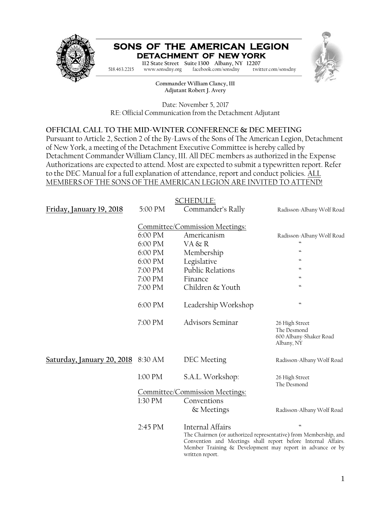

# **SONS OF THE AMERICAN LEGION DETACHMENT OF NEW YORK**



**Commander Charles M. Depo 112 State Street Suite 1300 Albany, NY 12207 Adjutant Robert J. Avery** 518.463.2215 www.sonsdny.org facebook.com/sonsdny twitter.com/sonsdny

> **Commander William Clancy, III Adjutant Robert J. Avery**

Date: November 5, 2017 RE: Official Communication from the Detachment Adjutant

## **OFFICIAL CALL TO THE MID-WINTER CONFERENCE & DEC MEETING**

Pursuant to Article 2, Section 2 of the By-Laws of the Sons of The American Legion, Detachment of New York, a meeting of the Detachment Executive Committee is hereby called by Detachment Commander William Clancy, III. All DEC members as authorized in the Expense Authorizations are expected to attend. Most are expected to submit a typewritten report. Refer to the DEC Manual for a full explanation of attendance, report and conduct policies. ALL MEMBERS OF THE SONS OF THE AMERICAN LEGION ARE INVITED TO ATTEND!

|                            |                                | <b>SCHEDULE:</b>                                                                                                                                                                                                                      |                                                                       |  |
|----------------------------|--------------------------------|---------------------------------------------------------------------------------------------------------------------------------------------------------------------------------------------------------------------------------------|-----------------------------------------------------------------------|--|
| Friday, January 19, 2018   | 5:00 PM                        | Commander's Rally                                                                                                                                                                                                                     | Radisson-Albany Wolf Road                                             |  |
|                            |                                | Committee/Commission Meetings:                                                                                                                                                                                                        |                                                                       |  |
|                            | 6:00 PM                        | Americanism                                                                                                                                                                                                                           | Radisson-Albany Wolf Road                                             |  |
|                            | 6:00 PM                        | VA & R                                                                                                                                                                                                                                | 4                                                                     |  |
|                            | 6:00 PM                        | Membership                                                                                                                                                                                                                            | $\boldsymbol{\omega}$                                                 |  |
|                            | 6:00 PM                        | Legislative                                                                                                                                                                                                                           | $\omega$                                                              |  |
|                            | 7:00 PM                        | <b>Public Relations</b>                                                                                                                                                                                                               | $\boldsymbol{\omega}$                                                 |  |
|                            | 7:00 PM                        | Finance                                                                                                                                                                                                                               | $\boldsymbol{\varsigma}\boldsymbol{\varsigma}$                        |  |
|                            | 7:00 PM                        | Children & Youth                                                                                                                                                                                                                      | $\overline{\mathbf{G}}$                                               |  |
|                            | 6:00 PM                        | Leadership Workshop                                                                                                                                                                                                                   | $\omega$                                                              |  |
|                            | 7:00 PM                        | <b>Advisors Seminar</b>                                                                                                                                                                                                               | 26 High Street<br>The Desmond<br>600 Albany-Shaker Road<br>Albany, NY |  |
| Saturday, January 20, 2018 | 8:30 AM                        | DEC Meeting                                                                                                                                                                                                                           | Radisson-Albany Wolf Road                                             |  |
|                            | 1:00 PM                        | S.A.L. Workshop:                                                                                                                                                                                                                      | 26 High Street<br>The Desmond                                         |  |
|                            | Committee/Commission Meetings: |                                                                                                                                                                                                                                       |                                                                       |  |
|                            | 1:30 PM                        | Conventions                                                                                                                                                                                                                           |                                                                       |  |
|                            |                                | & Meetings                                                                                                                                                                                                                            | Radisson-Albany Wolf Road                                             |  |
|                            | $2:45$ PM                      | Internal Affairs<br>The Chairmen (or authorized representative) from Membership, and<br>Convention and Meetings shall report before Internal Affairs.<br>Member Training & Development may report in advance or by<br>written report. | $\boldsymbol{\omega}$                                                 |  |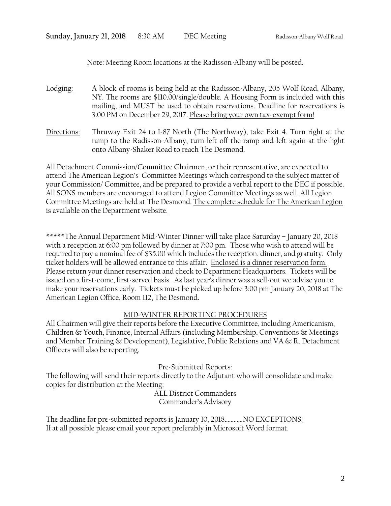### Note: Meeting Room locations at the Radisson-Albany will be posted.

- Lodging: A block of rooms is being held at the Radisson-Albany, 205 Wolf Road, Albany, NY. The rooms are \$110.00/single/double. A Housing Form is included with this mailing, and MUST be used to obtain reservations. Deadline for reservations is 3:00 PM on December 29, 2017. Please bring your own tax-exempt form!
- Directions: Thruway Exit 24 to I-87 North (The Northway), take Exit 4. Turn right at the ramp to the Radisson-Albany, turn left off the ramp and left again at the light onto Albany-Shaker Road to reach The Desmond.

All Detachment Commission/Committee Chairmen, or their representative, are expected to attend The American Legion's Committee Meetings which correspond to the subject matter of your Commission/ Committee, and be prepared to provide a verbal report to the DEC if possible. All SONS members are encouraged to attend Legion Committee Meetings as well. All Legion Committee Meetings are held at The Desmond. The complete schedule for The American Legion is available on the Department website.

\*\*\*\*\*The Annual Department Mid-Winter Dinner will take place Saturday – January 20, 2018 with a reception at 6:00 pm followed by dinner at 7:00 pm. Those who wish to attend will be required to pay a nominal fee of \$35.00 which includes the reception, dinner, and gratuity. Only ticket holders will be allowed entrance to this affair. Enclosed is a dinner reservation form. Please return your dinner reservation and check to Department Headquarters. Tickets will be issued on a first-come, first-served basis. As last year's dinner was a sell-out we advise you to make your reservations early. Tickets must be picked up before 3:00 pm January 20, 2018 at The American Legion Office, Room 112, The Desmond.

#### MID-WINTER REPORTING PROCEDURES

All Chairmen will give their reports before the Executive Committee, including Americanism, Children & Youth, Finance, Internal Affairs (including Membership, Conventions & Meetings and Member Training & Development), Legislative, Public Relations and VA  $\&$  R. Detachment Officers will also be reporting.

Pre-Submitted Reports:

The following will send their reports directly to the Adjutant who will consolidate and make copies for distribution at the Meeting:

ALL District Commanders Commander's Advisory

The deadline for pre-submitted reports is January 10, 2018............. NO EXCEPTIONS! If at all possible please email your report preferably in Microsoft Word format.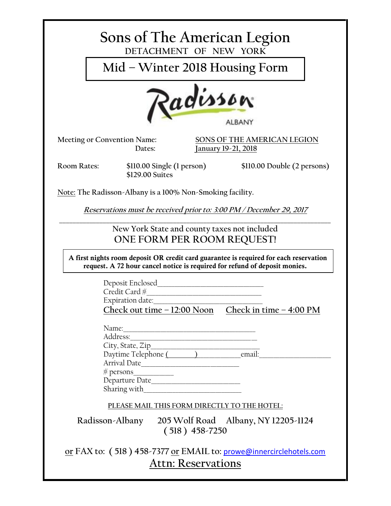| Sons of The American Legion<br>DETACHMENT OF NEW YORK                                                                                                               |
|---------------------------------------------------------------------------------------------------------------------------------------------------------------------|
| Mid - Winter 2018 Housing Form                                                                                                                                      |
| Radisson<br><b>ALBANY</b>                                                                                                                                           |
| Meeting or Convention Name:<br>SONS OF THE AMERICAN LEGION<br>Dates:<br>January 19-21, 2018                                                                         |
| <b>Room Rates:</b><br>$$110.00$ Single (1 person)<br>\$110.00 Double (2 persons)<br>\$129.00 Suites                                                                 |
| Note: The Radisson-Albany is a 100% Non-Smoking facility.                                                                                                           |
| Reservations must be received prior to: 3:00 PM / December 29, 2017                                                                                                 |
| New York State and county taxes not included<br>ONE FORM PER ROOM REQUEST!                                                                                          |
| A first nights room deposit OR credit card guarantee is required for each reservation<br>request. A 72 hour cancel notice is required for refund of deposit monies. |
| Deposit Enclosed<br>Credit Card #<br>Expiration date:<br>Check out time $-12:00$ Noon Check in time $-4:00$ PM                                                      |
| Name:<br>Address:<br>Arrival Date                                                                                                                                   |
| PLEASE MAIL THIS FORM DIRECTLY TO THE HOTEL:                                                                                                                        |
| Radisson-Albany 205 Wolf Road Albany, NY 12205-1124<br>$(518) 458 - 7250$                                                                                           |
| or FAX to: (518) 458-7377 or EMAIL to: prowe@innercirclehotels.com<br><b>Attn: Reservations</b>                                                                     |